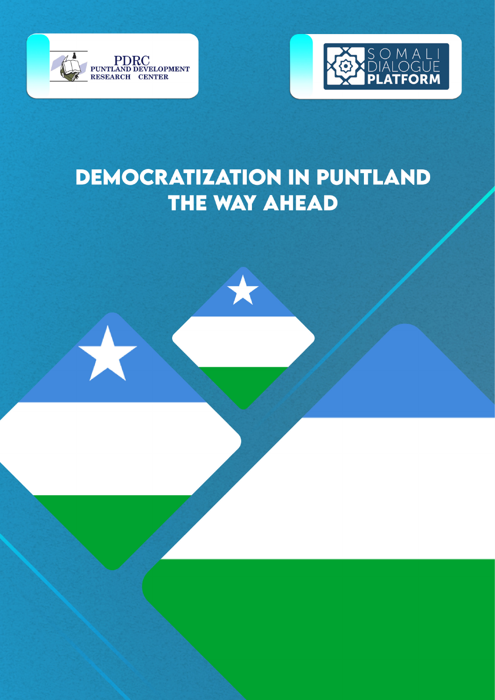



# **DEMOCRATIZATION IN PUNTLAND** THE WAY AHEAD

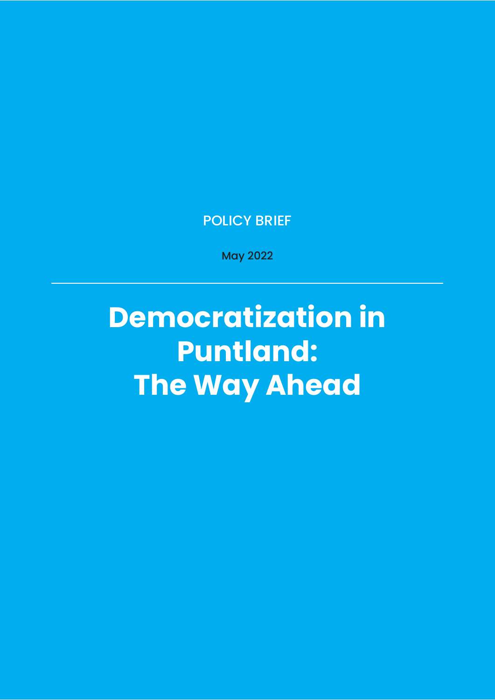POLICY BRIEF

May 2022

**Democratization in Puntland: The Way Ahead**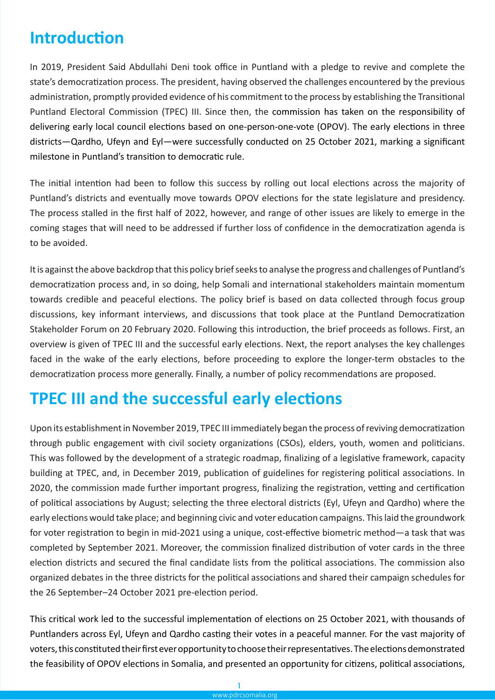# **Introduction**

In 2019, President Said Abdullahi Deni took office in Puntland with a pledge to revive and complete the state's democratization process. The president, having observed the challenges encountered by the previous administration, promptly provided evidence of his commitment to the process by establishing the Transitional Puntland Electoral Commission (TPEC) III. Since then, the commission has taken on the responsibility of delivering early local council elections based on one-person-one-vote (OPOV). The early elections in three districts—Qardho, Ufeyn and Eyl—were successfully conducted on 25 October 2021, marking a significant milestone in Puntland's transition to democratic rule.

The initial intention had been to follow this success by rolling out local elections across the majority of Puntland's districts and eventually move towards OPOV elections for the state legislature and presidency. The process stalled in the first half of 2022, however, and range of other issues are likely to emerge in the coming stages that will need to be addressed if further loss of confidence in the democratization agenda is to be avoided.

It is against the above backdrop that this policy brief seeks to analyse the progress and challenges of Puntland's democratization process and, in so doing, help Somali and international stakeholders maintain momentum towards credible and peaceful elections. The policy brief is based on data collected through focus group discussions, key informant interviews, and discussions that took place at the Puntland Democratization Stakeholder Forum on 20 February 2020. Following this introduction, the brief proceeds as follows. First, an overview is given of TPEC III and the successful early elections. Next, the report analyses the key challenges faced in the wake of the early elections, before proceeding to explore the longer-term obstacles to the democratization process more generally. Finally, a number of policy recommendations are proposed.

## **TPEC III and the successful early elections**

Upon its establishment in November 2019, TPEC III immediately began the process of reviving democratization through public engagement with civil society organizations (CSOs), elders, youth, women and politicians. This was followed by the development of a strategic roadmap, finalizing of a legislative framework, capacity building at TPEC, and, in December 2019, publication of guidelines for registering political associations. In 2020, the commission made further important progress, finalizing the registration, vetting and certification of political associations by August; selecting the three electoral districts (Eyl, Ufeyn and Qardho) where the early elections would take place; and beginning civic and voter education campaigns. This laid the groundwork for voter registration to begin in mid-2021 using a unique, cost-effective biometric method—a task that was completed by September 2021. Moreover, the commission finalized distribution of voter cards in the three election districts and secured the final candidate lists from the political associations. The commission also organized debates in the three districts for the political associations and shared their campaign schedules for the 26 September–24 October 2021 pre-election period.

This critical work led to the successful implementation of elections on 25 October 2021, with thousands of Puntlanders across Eyl, Ufeyn and Qardho casting their votes in a peaceful manner. For the vast majority of voters, this constituted their first ever opportunity to choose their representatives. The elections demonstrated the feasibility of OPOV elections in Somalia, and presented an opportunity for citizens, political associations,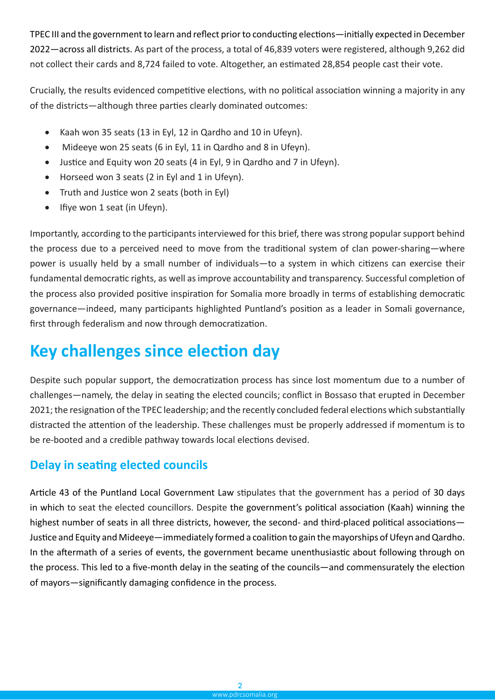TPEC III and the government to learn and reflect prior to conducting elections—initially expected in December 2022—across all districts. As part of the process, a total of 46,839 voters were registered, although 9,262 did not collect their cards and 8,724 failed to vote. Altogether, an estimated 28,854 people cast their vote.

Crucially, the results evidenced competitive elections, with no political association winning a majority in any of the districts—although three parties clearly dominated outcomes:

- Kaah won 35 seats (13 in Eyl, 12 in Qardho and 10 in Ufeyn).
- Mideeye won 25 seats (6 in Eyl, 11 in Qardho and 8 in Ufeyn).
- Justice and Equity won 20 seats (4 in Eyl, 9 in Qardho and 7 in Ufeyn).
- • Horseed won 3 seats (2 in Eyl and 1 in Ufeyn).
- • Truth and Justice won 2 seats (both in Eyl)
- Ifiye won 1 seat (in Ufeyn).

Importantly, according to the participants interviewed for this brief, there was strong popular support behind the process due to a perceived need to move from the traditional system of clan power-sharing—where power is usually held by a small number of individuals—to a system in which citizens can exercise their fundamental democratic rights, as well as improve accountability and transparency. Successful completion of the process also provided positive inspiration for Somalia more broadly in terms of establishing democratic governance—indeed, many participants highlighted Puntland's position as a leader in Somali governance, first through federalism and now through democratization.

# **Key challenges since election day**

Despite such popular support, the democratization process has since lost momentum due to a number of challenges—namely, the delay in seating the elected councils; conflict in Bossaso that erupted in December 2021; the resignation of the TPEC leadership; and the recently concluded federal elections which substantially distracted the attention of the leadership. These challenges must be properly addressed if momentum is to be re-booted and a credible pathway towards local elections devised.

### **Delay in seating elected councils**

Article 43 of the Puntland Local Government Law stipulates that the government has a period of 30 days in which to seat the elected councillors. Despite the government's political association (Kaah) winning the highest number of seats in all three districts, however, the second- and third-placed political associations— Justice and Equity and Mideeye—immediately formed a coalition to gain the mayorships of Ufeyn and Qardho. In the aftermath of a series of events, the government became unenthusiastic about following through on the process. This led to a five-month delay in the seating of the councils—and commensurately the election of mayors—significantly damaging confidence in the process.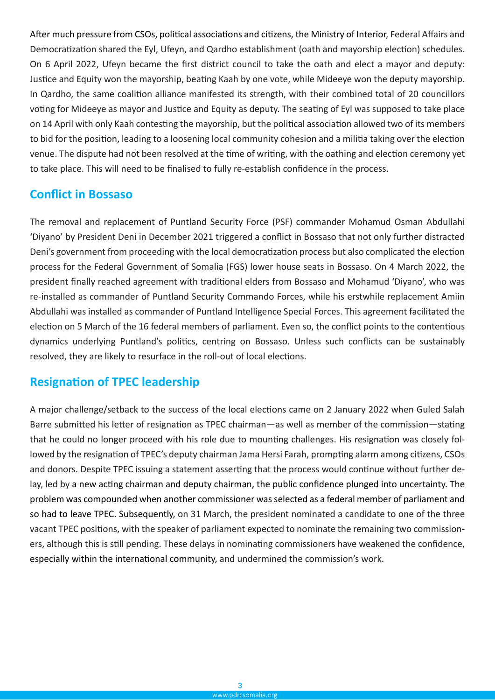After much pressure from CSOs, political associations and citizens, the Ministry of Interior, Federal Affairs and Democratization shared the Eyl, Ufeyn, and Qardho establishment (oath and mayorship election) schedules. On 6 April 2022, Ufeyn became the first district council to take the oath and elect a mayor and deputy: Justice and Equity won the mayorship, beating Kaah by one vote, while Mideeye won the deputy mayorship. In Qardho, the same coalition alliance manifested its strength, with their combined total of 20 councillors voting for Mideeye as mayor and Justice and Equity as deputy. The seating of Eyl was supposed to take place on 14 April with only Kaah contesting the mayorship, but the political association allowed two of its members to bid for the position, leading to a loosening local community cohesion and a militia taking over the election venue. The dispute had not been resolved at the time of writing, with the oathing and election ceremony yet to take place. This will need to be finalised to fully re-establish confidence in the process.

#### **Conflict in Bossaso**

The removal and replacement of Puntland Security Force (PSF) commander Mohamud Osman Abdullahi 'Diyano' by President Deni in December 2021 triggered a conflict in Bossaso that not only further distracted Deni's government from proceeding with the local democratization process but also complicated the election process for the Federal Government of Somalia (FGS) lower house seats in Bossaso. On 4 March 2022, the president finally reached agreement with traditional elders from Bossaso and Mohamud 'Diyano', who was re-installed as commander of Puntland Security Commando Forces, while his erstwhile replacement Amiin Abdullahi was installed as commander of Puntland Intelligence Special Forces. This agreement facilitated the election on 5 March of the 16 federal members of parliament. Even so, the conflict points to the contentious dynamics underlying Puntland's politics, centring on Bossaso. Unless such conflicts can be sustainably resolved, they are likely to resurface in the roll-out of local elections.

#### **Resignation of TPEC leadership**

A major challenge/setback to the success of the local elections came on 2 January 2022 when Guled Salah Barre submitted his letter of resignation as TPEC chairman—as well as member of the commission—stating that he could no longer proceed with his role due to mounting challenges. His resignation was closely followed by the resignation of TPEC's deputy chairman Jama Hersi Farah, prompting alarm among citizens, CSOs and donors. Despite TPEC issuing a statement asserting that the process would continue without further delay, led by a new acting chairman and deputy chairman, the public confidence plunged into uncertainty. The problem was compounded when another commissioner was selected as a federal member of parliament and so had to leave TPEC. Subsequently, on 31 March, the president nominated a candidate to one of the three vacant TPEC positions, with the speaker of parliament expected to nominate the remaining two commissioners, although this is still pending. These delays in nominating commissioners have weakened the confidence, especially within the international community, and undermined the commission's work.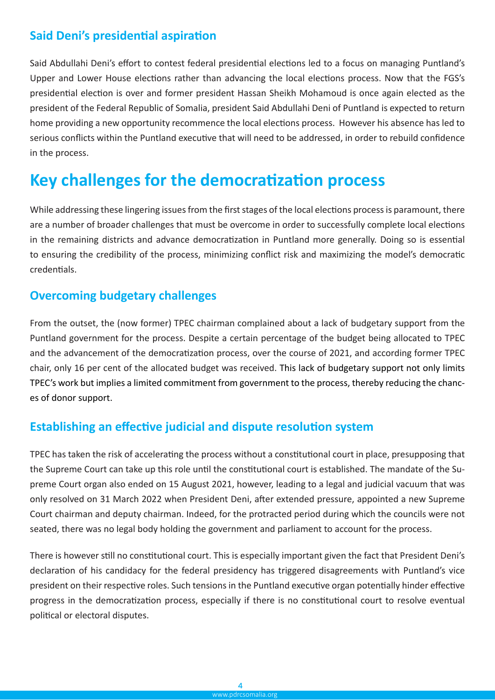#### **Said Deni's presidential aspiration**

Said Abdullahi Deni's effort to contest federal presidential elections led to a focus on managing Puntland's Upper and Lower House elections rather than advancing the local elections process. Now that the FGS's presidential election is over and former president Hassan Sheikh Mohamoud is once again elected as the president of the Federal Republic of Somalia, president Said Abdullahi Deni of Puntland is expected to return home providing a new opportunity recommence the local elections process. However his absence has led to serious conflicts within the Puntland executive that will need to be addressed, in order to rebuild confidence in the process.

## **Key challenges for the democratization process**

While addressing these lingering issues from the first stages of the local elections process is paramount, there are a number of broader challenges that must be overcome in order to successfully complete local elections in the remaining districts and advance democratization in Puntland more generally. Doing so is essential to ensuring the credibility of the process, minimizing conflict risk and maximizing the model's democratic credentials.

#### **Overcoming budgetary challenges**

From the outset, the (now former) TPEC chairman complained about a lack of budgetary support from the Puntland government for the process. Despite a certain percentage of the budget being allocated to TPEC and the advancement of the democratization process, over the course of 2021, and according former TPEC chair, only 16 per cent of the allocated budget was received. This lack of budgetary support not only limits TPEC's work but implies a limited commitment from government to the process, thereby reducing the chances of donor support.

#### **Establishing an effective judicial and dispute resolution system**

TPEC has taken the risk of accelerating the process without a constitutional court in place, presupposing that the Supreme Court can take up this role until the constitutional court is established. The mandate of the Supreme Court organ also ended on 15 August 2021, however, leading to a legal and judicial vacuum that was only resolved on 31 March 2022 when President Deni, after extended pressure, appointed a new Supreme Court chairman and deputy chairman. Indeed, for the protracted period during which the councils were not seated, there was no legal body holding the government and parliament to account for the process.

There is however still no constitutional court. This is especially important given the fact that President Deni's declaration of his candidacy for the federal presidency has triggered disagreements with Puntland's vice president on their respective roles. Such tensions in the Puntland executive organ potentially hinder effective progress in the democratization process, especially if there is no constitutional court to resolve eventual political or electoral disputes.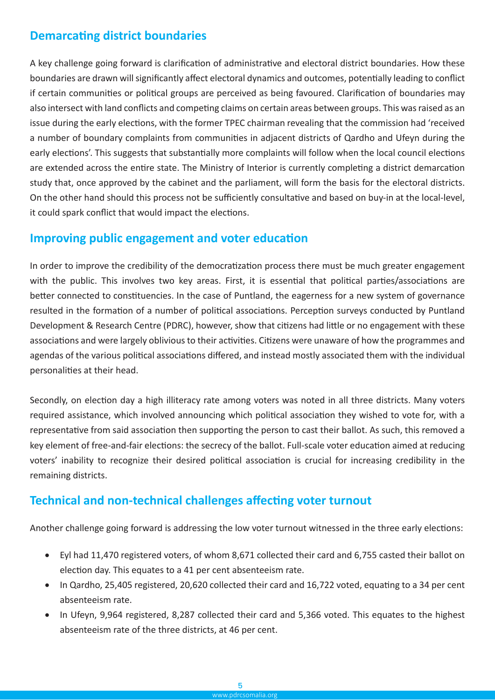### **Demarcating district boundaries**

A key challenge going forward is clarification of administrative and electoral district boundaries. How these boundaries are drawn will significantly affect electoral dynamics and outcomes, potentially leading to conflict if certain communities or political groups are perceived as being favoured. Clarification of boundaries may also intersect with land conflicts and competing claims on certain areas between groups. This was raised as an issue during the early elections, with the former TPEC chairman revealing that the commission had 'received a number of boundary complaints from communities in adjacent districts of Qardho and Ufeyn during the early elections'. This suggests that substantially more complaints will follow when the local council elections are extended across the entire state. The Ministry of Interior is currently completing a district demarcation study that, once approved by the cabinet and the parliament, will form the basis for the electoral districts. On the other hand should this process not be sufficiently consultative and based on buy-in at the local-level, it could spark conflict that would impact the elections.

#### **Improving public engagement and voter education**

In order to improve the credibility of the democratization process there must be much greater engagement with the public. This involves two key areas. First, it is essential that political parties/associations are better connected to constituencies. In the case of Puntland, the eagerness for a new system of governance resulted in the formation of a number of political associations. Perception surveys conducted by Puntland Development & Research Centre (PDRC), however, show that citizens had little or no engagement with these associations and were largely oblivious to their activities. Citizens were unaware of how the programmes and agendas of the various political associations differed, and instead mostly associated them with the individual personalities at their head.

Secondly, on election day a high illiteracy rate among voters was noted in all three districts. Many voters required assistance, which involved announcing which political association they wished to vote for, with a representative from said association then supporting the person to cast their ballot. As such, this removed a key element of free-and-fair elections: the secrecy of the ballot. Full-scale voter education aimed at reducing voters' inability to recognize their desired political association is crucial for increasing credibility in the remaining districts.

#### **Technical and non-technical challenges affecting voter turnout**

Another challenge going forward is addressing the low voter turnout witnessed in the three early elections:

- Eyl had 11,470 registered voters, of whom 8,671 collected their card and 6,755 casted their ballot on election day. This equates to a 41 per cent absenteeism rate.
- In Qardho, 25,405 registered, 20,620 collected their card and 16,722 voted, equating to a 34 per cent absenteeism rate.
- In Ufeyn, 9,964 registered, 8,287 collected their card and 5,366 voted. This equates to the highest absenteeism rate of the three districts, at 46 per cent.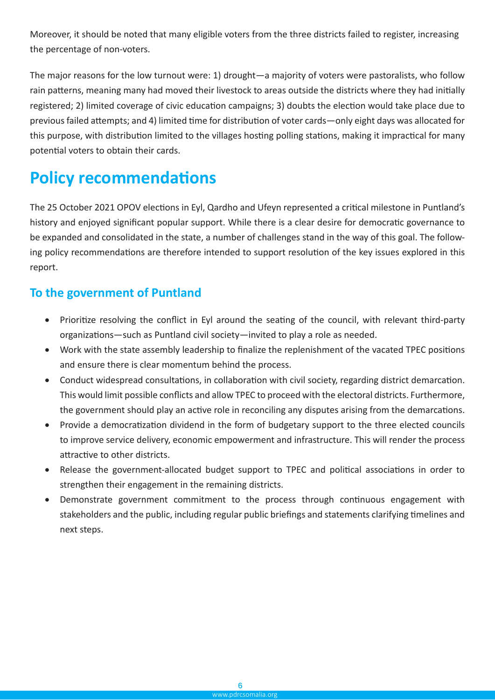Moreover, it should be noted that many eligible voters from the three districts failed to register, increasing the percentage of non-voters.

The major reasons for the low turnout were: 1) drought—a majority of voters were pastoralists, who follow rain patterns, meaning many had moved their livestock to areas outside the districts where they had initially registered; 2) limited coverage of civic education campaigns; 3) doubts the election would take place due to previous failed attempts; and 4) limited time for distribution of voter cards—only eight days was allocated for this purpose, with distribution limited to the villages hosting polling stations, making it impractical for many potential voters to obtain their cards.

# **Policy recommendations**

The 25 October 2021 OPOV elections in Eyl, Qardho and Ufeyn represented a critical milestone in Puntland's history and enjoyed significant popular support. While there is a clear desire for democratic governance to be expanded and consolidated in the state, a number of challenges stand in the way of this goal. The following policy recommendations are therefore intended to support resolution of the key issues explored in this report.

### **To the government of Puntland**

- Prioritize resolving the conflict in Eyl around the seating of the council, with relevant third-party organizations—such as Puntland civil society—invited to play a role as needed.
- Work with the state assembly leadership to finalize the replenishment of the vacated TPEC positions and ensure there is clear momentum behind the process.
- Conduct widespread consultations, in collaboration with civil society, regarding district demarcation. This would limit possible conflicts and allow TPEC to proceed with the electoral districts. Furthermore, the government should play an active role in reconciling any disputes arising from the demarcations.
- Provide a democratization dividend in the form of budgetary support to the three elected councils to improve service delivery, economic empowerment and infrastructure. This will render the process attractive to other districts.
- Release the government-allocated budget support to TPEC and political associations in order to strengthen their engagement in the remaining districts.
- Demonstrate government commitment to the process through continuous engagement with stakeholders and the public, including regular public briefings and statements clarifying timelines and next steps.